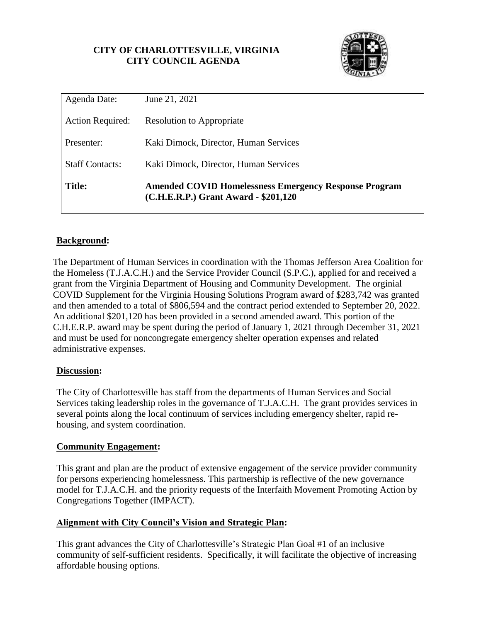## **CITY OF CHARLOTTESVILLE, VIRGINIA CITY COUNCIL AGENDA**



| Agenda Date:            | June 21, 2021                                                                                        |  |
|-------------------------|------------------------------------------------------------------------------------------------------|--|
| <b>Action Required:</b> | <b>Resolution to Appropriate</b>                                                                     |  |
| Presenter:              | Kaki Dimock, Director, Human Services                                                                |  |
| <b>Staff Contacts:</b>  | Kaki Dimock, Director, Human Services                                                                |  |
| <b>Title:</b>           | <b>Amended COVID Homelessness Emergency Response Program</b><br>(C.H.E.R.P.) Grant Award - \$201,120 |  |

# **Background:**

The Department of Human Services in coordination with the Thomas Jefferson Area Coalition for the Homeless (T.J.A.C.H.) and the Service Provider Council (S.P.C.), applied for and received a grant from the Virginia Department of Housing and Community Development. The orginial COVID Supplement for the Virginia Housing Solutions Program award of \$283,742 was granted and then amended to a total of \$806,594 and the contract period extended to September 20, 2022. An additional \$201,120 has been provided in a second amended award. This portion of the C.H.E.R.P. award may be spent during the period of January 1, 2021 through December 31, 2021 and must be used for noncongregate emergency shelter operation expenses and related administrative expenses.

## **Discussion:**

The City of Charlottesville has staff from the departments of Human Services and Social Services taking leadership roles in the governance of T.J.A.C.H. The grant provides services in several points along the local continuum of services including emergency shelter, rapid rehousing, and system coordination.

## **Community Engagement:**

This grant and plan are the product of extensive engagement of the service provider community for persons experiencing homelessness. This partnership is reflective of the new governance model for T.J.A.C.H. and the priority requests of the Interfaith Movement Promoting Action by Congregations Together (IMPACT).

## **Alignment with City Council's Vision and Strategic Plan:**

This grant advances the City of Charlottesville's Strategic Plan Goal #1 of an inclusive community of self-sufficient residents. Specifically, it will facilitate the objective of increasing affordable housing options.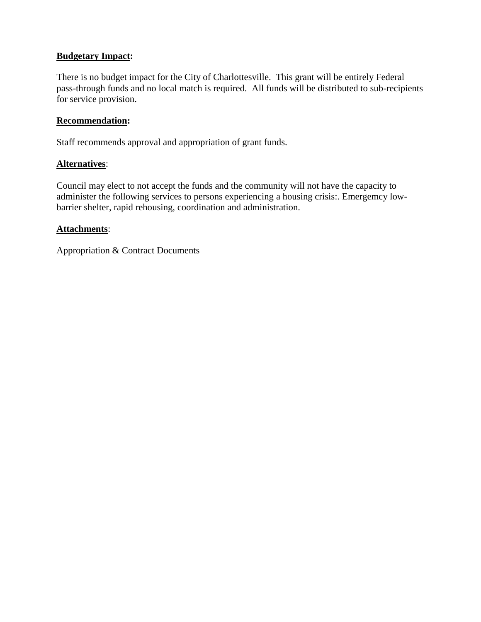## **Budgetary Impact:**

There is no budget impact for the City of Charlottesville. This grant will be entirely Federal pass-through funds and no local match is required. All funds will be distributed to sub-recipients for service provision.

#### **Recommendation:**

Staff recommends approval and appropriation of grant funds.

### **Alternatives**:

Council may elect to not accept the funds and the community will not have the capacity to administer the following services to persons experiencing a housing crisis:. Emergemcy lowbarrier shelter, rapid rehousing, coordination and administration.

### **Attachments**:

Appropriation & Contract Documents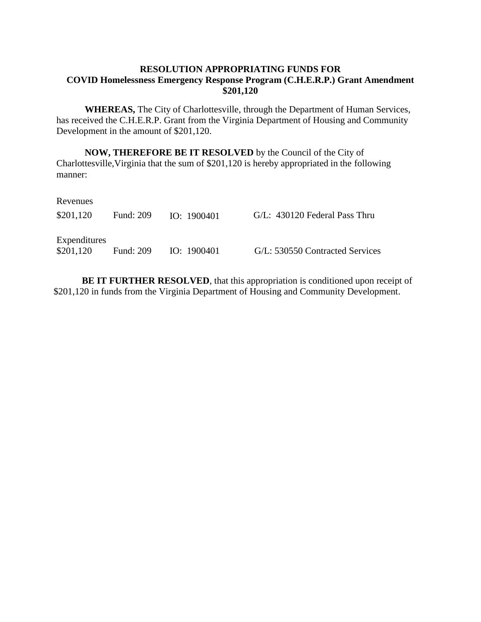### **RESOLUTION APPROPRIATING FUNDS FOR COVID Homelessness Emergency Response Program (C.H.E.R.P.) Grant Amendment \$201,120**

**WHEREAS,** The City of Charlottesville, through the Department of Human Services, has received the C.H.E.R.P. Grant from the Virginia Department of Housing and Community Development in the amount of \$201,120.

**NOW, THEREFORE BE IT RESOLVED** by the Council of the City of Charlottesville,Virginia that the sum of \$201,120 is hereby appropriated in the following manner:

| Revenues                  |                  |               |                                 |
|---------------------------|------------------|---------------|---------------------------------|
| \$201,120                 | <b>Fund: 209</b> | IO: $1900401$ | G/L: 430120 Federal Pass Thru   |
| Expenditures<br>\$201,120 | <b>Fund: 209</b> | IO: 1900401   | G/L: 530550 Contracted Services |

**BE IT FURTHER RESOLVED**, that this appropriation is conditioned upon receipt of \$201,120 in funds from the Virginia Department of Housing and Community Development.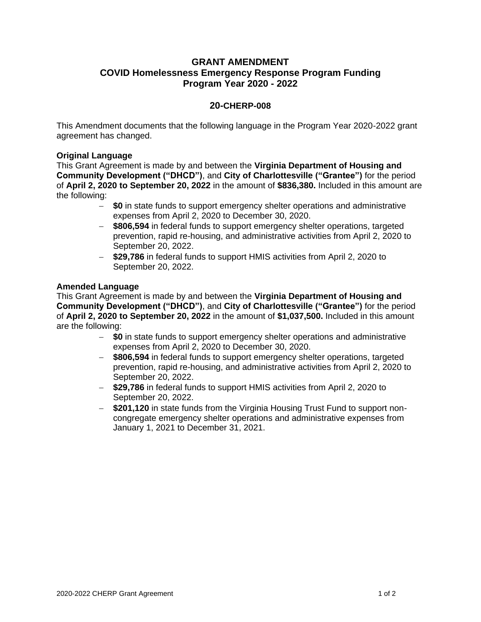## **GRANT AMENDMENT COVID Homelessness Emergency Response Program Funding Program Year 2020 - 2022**

#### **20-CHERP-008**

This Amendment documents that the following language in the Program Year 2020-2022 grant agreement has changed.

#### **Original Language**

This Grant Agreement is made by and between the **Virginia Department of Housing and Community Development ("DHCD")**, and **City of Charlottesville ("Grantee")** for the period of **April 2, 2020 to September 20, 2022** in the amount of **\$836,380.** Included in this amount are the following:

- **\$0** in state funds to support emergency shelter operations and administrative expenses from April 2, 2020 to December 30, 2020.
- **\$806,594** in federal funds to support emergency shelter operations, targeted prevention, rapid re-housing, and administrative activities from April 2, 2020 to September 20, 2022.
- **\$29,786** in federal funds to support HMIS activities from April 2, 2020 to September 20, 2022.

#### **Amended Language**

This Grant Agreement is made by and between the **Virginia Department of Housing and Community Development ("DHCD")**, and **City of Charlottesville ("Grantee")** for the period of **April 2, 2020 to September 20, 2022** in the amount of **\$1,037,500.** Included in this amount are the following:

- **\$0** in state funds to support emergency shelter operations and administrative expenses from April 2, 2020 to December 30, 2020.
- **\$806,594** in federal funds to support emergency shelter operations, targeted prevention, rapid re-housing, and administrative activities from April 2, 2020 to September 20, 2022.
- **\$29,786** in federal funds to support HMIS activities from April 2, 2020 to September 20, 2022.
- **\$201,120** in state funds from the Virginia Housing Trust Fund to support noncongregate emergency shelter operations and administrative expenses from January 1, 2021 to December 31, 2021.